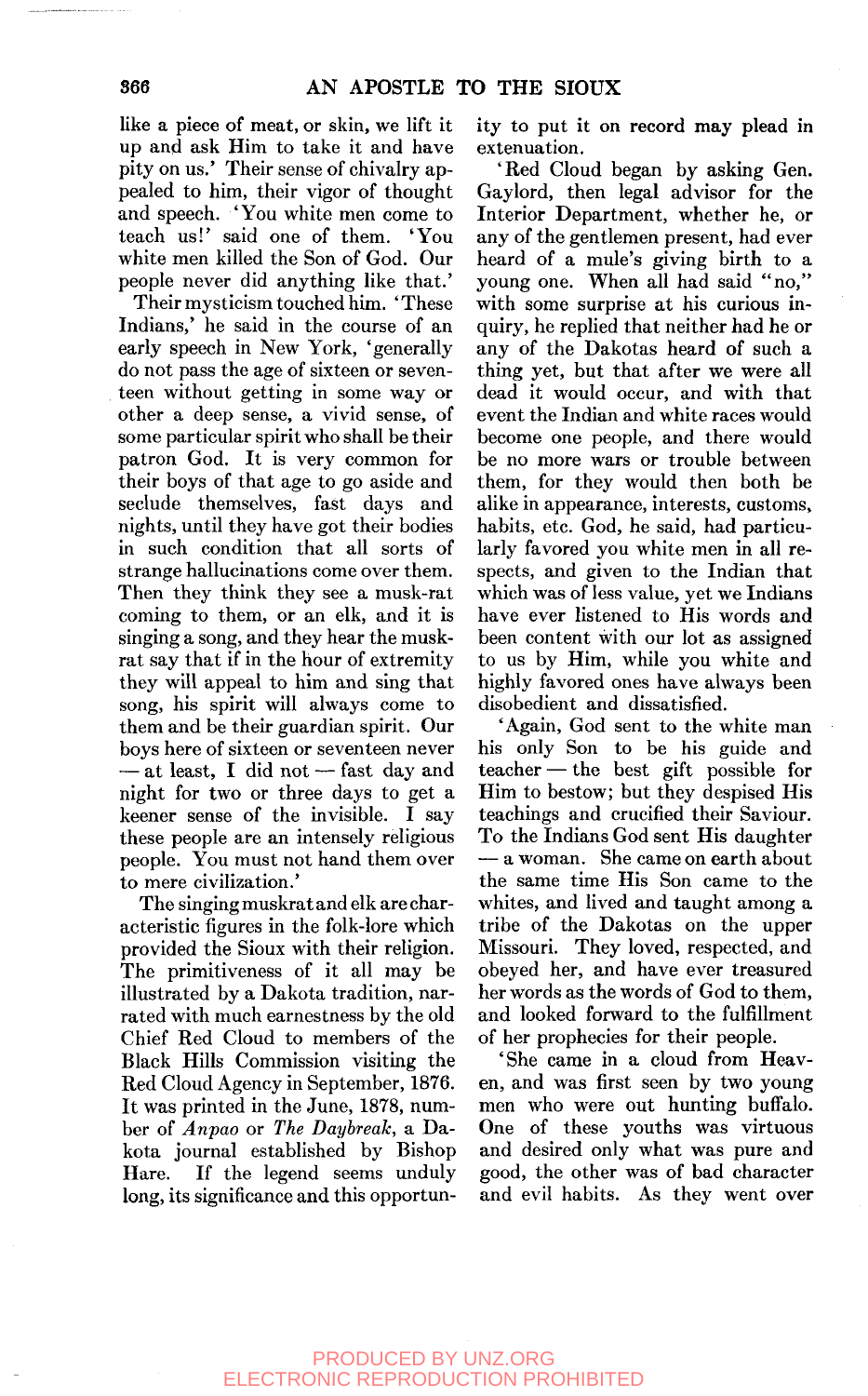like a piece of meat, or skin, we lift it up and ask Him to take it and have pity on us.' Their sense of chivalry appealed to him, their vigor of thought and speech. 'You white men come to teach us!' said one of them. 'You white men killed the Son of God. Our people never did anything like that.'

Their mysticism touched him. 'These Indians,' he said in the course of an early speech in New York, 'generally do not pass the age of sixteen or seventeen without getting in some way or other a deep sense, a vivid sense, of some particular spirit who shall be their patron God. It is very common for their boys of that age to go aside and seclude themselves, fast days and nights, until they have got their bodies in such condition that all sorts of strange hallucinations come over them. Then they think they see a musk-rat coming to them, or an elk, and it is singing a song, and they hear the muskrat say that if in the hour of extremity they will appeal to him and sing that song, his spirit will always come to them and be their guardian spirit. Our boys here of sixteen or seventeen never — at least, I did not — fast day and night for two or three days to get a keener sense of the invisible. I say these people are an intensely religious people. You must not hand them over to mere civilization.'

The singing muskrat and elk are characteristic figures in the folk-lore which provided the Sioux with their religion. The primitiveness of it all may be illustrated by a Dakota tradition, narrated with much earnestness by the old Chief Red Cloud to members of the Black Hills Commission visiting the Red Cloud Agency in September, 1876. It was printed in the June, 1878, number of *Anpao* or *The Daybreak,* a Dakota journal established by Bishop Hare. If the legend seems unduly long, its significance and this opportunity to put it on record may plead in extenuation.

'Red Cloud began by asking Gen. Gaylord, then legal advisor for the Interior Department, whether he, or any of the gentlemen present, had ever heard of a mule's giving birth to a young one. When all had said "no, " with some surprise at his curious inquiry, he replied that neither had he or any of the Dakotas heard of such a thing yet, but that after we were all dead it would occur, and with that event the Indian and white races would become one people, and there would be no more wars or trouble between them, for they would then both be alike in appearance, interests, customs, habits, etc. God, he said, had particularly favored you white men in all respects, and given to the Indian that which was of less value, yet we Indians have ever listened to His words and been content with our lot as assigned to us by Him, while you white and highly favored ones have always been disobedient and dissatisfied.

'Again, God sent to the white man his only Son to be his guide and teacher — the best gift possible for Him to bestow; but they despised His teachings and crucified their Saviour. To the Indians God sent His daughter — a woman. She came on earth about the same time His Son came to the whites, and lived and taught among a tribe of the Dakotas on the upper Missouri. They loved, respected, and obeyed her, and have ever treasured her words as the words of God to them, and looked forward to the fulfillment of her prophecies for their people.

'She came in a cloud from Heaven, and was first seen by two young men who were out hunting buffalo. One of these youths was virtuous and desired only what was pure and good, the other was of bad character and evil habits. As they went over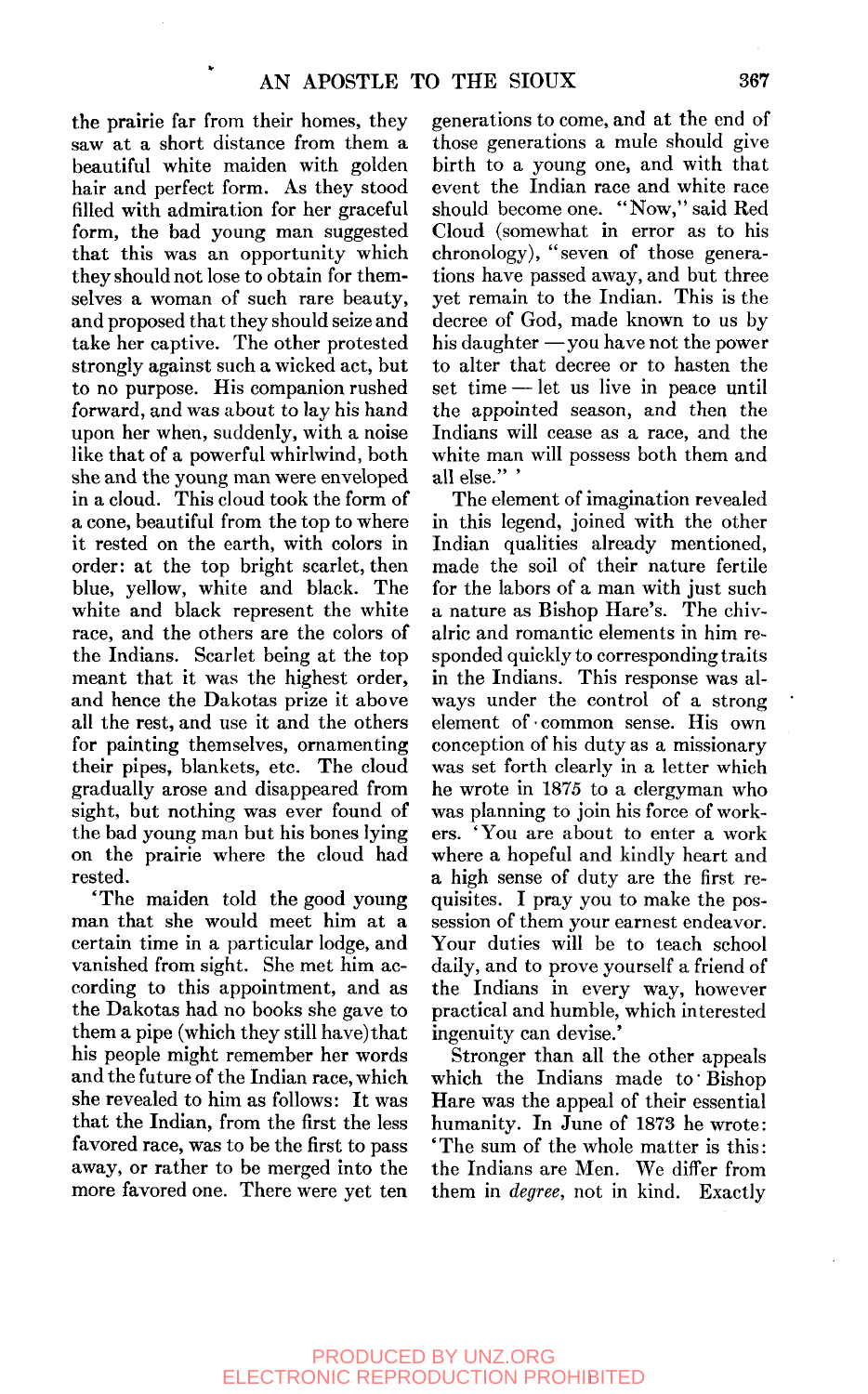the prairie far from their homes, they saw at a short distance from them a beautiful white maiden with golden hair and perfect form. As they stood filled with admiration for her graceful form, the bad young man suggested that this was an opportunity which they should not lose to obtain for themselves a woman of such rare beauty, and proposed that they should seize and take her captive. The other protested strongly against such a wicked act, but to no purpose. His companion rushed forward, and was about to lay his hand upon her when, suddenly, with a noise like that of a powerful whirlwind, both she and the young man were enveloped in a cloud. This cloud took the form of a cone, beautiful from the top to where it rested on the earth, with colors in order: at the top bright scarlet, then blue, yellow, white and black. The white and black represent the white race, and the others are the colors of the Indians. Scarlet being at the top meant that it was the highest order, and hence the Dakotas prize it above all the rest, and use it and the others for painting themselves, ornamenting their pipes, blankets, etc. The cloud gradually arose and disappeared from sight, but nothing was ever found of the bad young man but his bones lying on the prairie where the cloud had rested.

'The maiden told the good young man that she would meet him at a certain time in a particular lodge, and vanished from sight. She met him according to this appointment, and as the Dakotas had no books she gave to them a pipe (which they still have) that his people might remember her words and the future of the Indian race, which she revealed to him as follows: It was that the Indian, from the first the less favored race, was to be the first to pass away, or rather to be merged into the more favored one. There were yet ten generations to come, and at the end of those generations a mule should give birth to a young one, and with that event the Indian race and white race should become one. "Now," said Red Cloud (somewhat in error as to his chronology), "seven of those generations have passed away, and but three yet remain to the Indian. This is the decree of God, made known to us by his daughter  $-\nu$  vou have not the power to alter that decree or to hasten the set time — let us live in peace until the appointed season, and then the Indians will cease as a race, and the white man will possess both them and all else."'

The element of imagination revealed in this legend, joined with the other Indian qualities already mentioned, made the soil of their nature fertile for the labors of a man with just such a nature as Bishop Hare's. The chivalric and romantic elements in him responded quickly to corresponding traits in the Indians. This response was always under the control of a strong element of common sense. His own conception of his duty as a missionary was set forth clearly in a letter which he wrote in 1875 to a clergyman who was planning to join his force of workers. 'You are about to enter a work where a hopeful and kindly heart and a high sense of duty are the first requisites. I pray you to make the possession of them your earnest endeavor. Your duties will be to teach school daily, and to prove yourself a friend of the Indians in every way, however practical and humble, which interested ingenuity can devise.'

Stronger than all the other appeals which the Indians made to' Bishop Hare was the appeal of their essential humanity. In June of 1873 he wrote: 'The sum of the whole matter is this: the Indians are Men. We differ from them in *degree,* not in kind. Exactly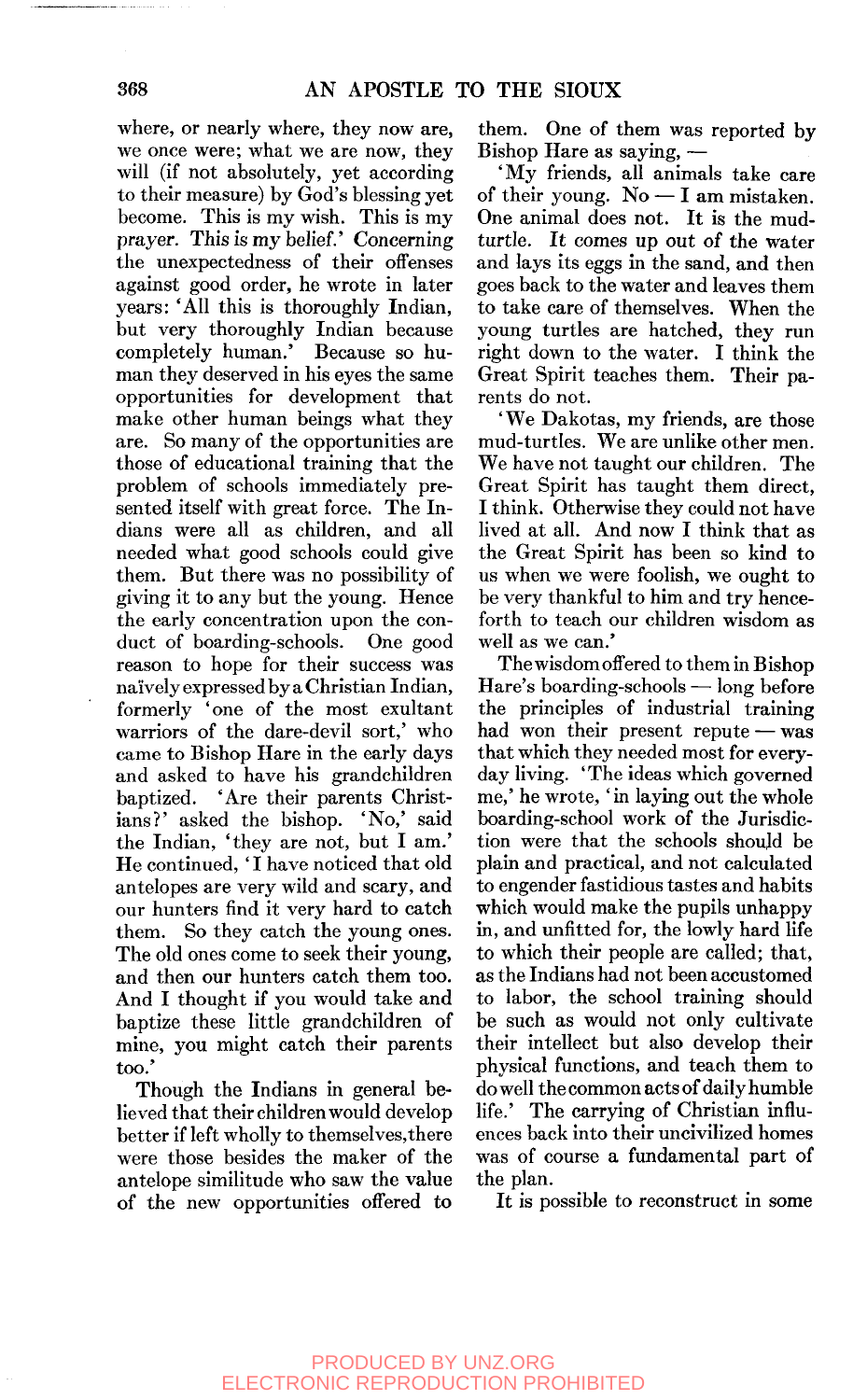where, or nearly where, they now are, we once were; what we are now, they will (if not absolutely, yet according to their measure) by God's blessing yet become. This is my wish. This is my prayer. This is my belief.' Concerning the unexpectedness of their offenses against good order, he wrote in later years: 'All this is thoroughly Indian, but very thoroughly Indian because completely human.' Because so human they deserved in his eyes the same opportunities for development that make other human beings what they are. So many of the opportunities are those of educational training that the problem of schools immediately presented itself with great force. The Indians were all as children, and all needed what good schools could give them. But there was no possibility of giving it to any but the young. Hence the early concentration upon the conduct of boarding-schools. One good reason to hope for their success was naively expressed by a Christian Indian, formerly 'one of the most exultant warriors of the dare-devil sort,' who came to Bishop Hare in the early days and asked to have his grandchildren baptized. 'Are their parents Christians?' asked the bishop. 'No,' said the Indian, 'they are not, but I am.' He continued, 'I have noticed that old antelopes are very wild and scary, and our hunters find it very hard to catch them. So they catch the young ones. The old ones come to seek their young, and then our hunters catch them too. And I thought if you would take and baptize these little grandchildren of mine, you might catch their parents too.'

Though the Indians in general believed that their children would develop better if left wholly to themselves,there were those besides the maker of the antelope similitude who saw the value of the new opportunities offered to

them. One of them was reported by Bishop Hare as saying, —

'My friends, all animals take care of their young. No — I am mistaken. One animal does not. It is the mudturtle. It comes up out of the water and lays its eggs in the sand, and then goes back to the water and leaves them to take care of themselves. When the young turtles are hatched, they run right down to the water. I think the Great Spirit teaches them. Their parents do not.

'We Dakotas, my friends, are those mud-turtles. We are unlike other men. We have not taught our children. The Great Spirit has taught them direct, I think. Otherwise they could not have lived at all. And now I think that as the Great Spirit has been so kind to us when we were foolish, we ought to be very thankful to him and try henceforth to teach our children wisdom as well as we can.'

The wisdom offered to them in Bishop Hare's boarding-schools — long before the principles of industrial training had won their present repute — was that which they needed most for everyday living. 'The ideas which governed me,' he wrote, 'in laying out the whole boarding-school work of the Jurisdiction were that the schools should be plain and practical, and not calculated to engender fastidious tastes and habits which would make the pupils unhappy in, and unfitted for, the lowly hard life to which their people are called; that, as the Indians had not been accustomed to labor, the school training should be such as would not only cultivate their intellect but also develop their physical functions, and teach them to do well the common acts of daily humble life.' The carrying of Christian influences back into their uncivilized homes was of course a fundamental part of the plan.

It is possible to reconstruct in some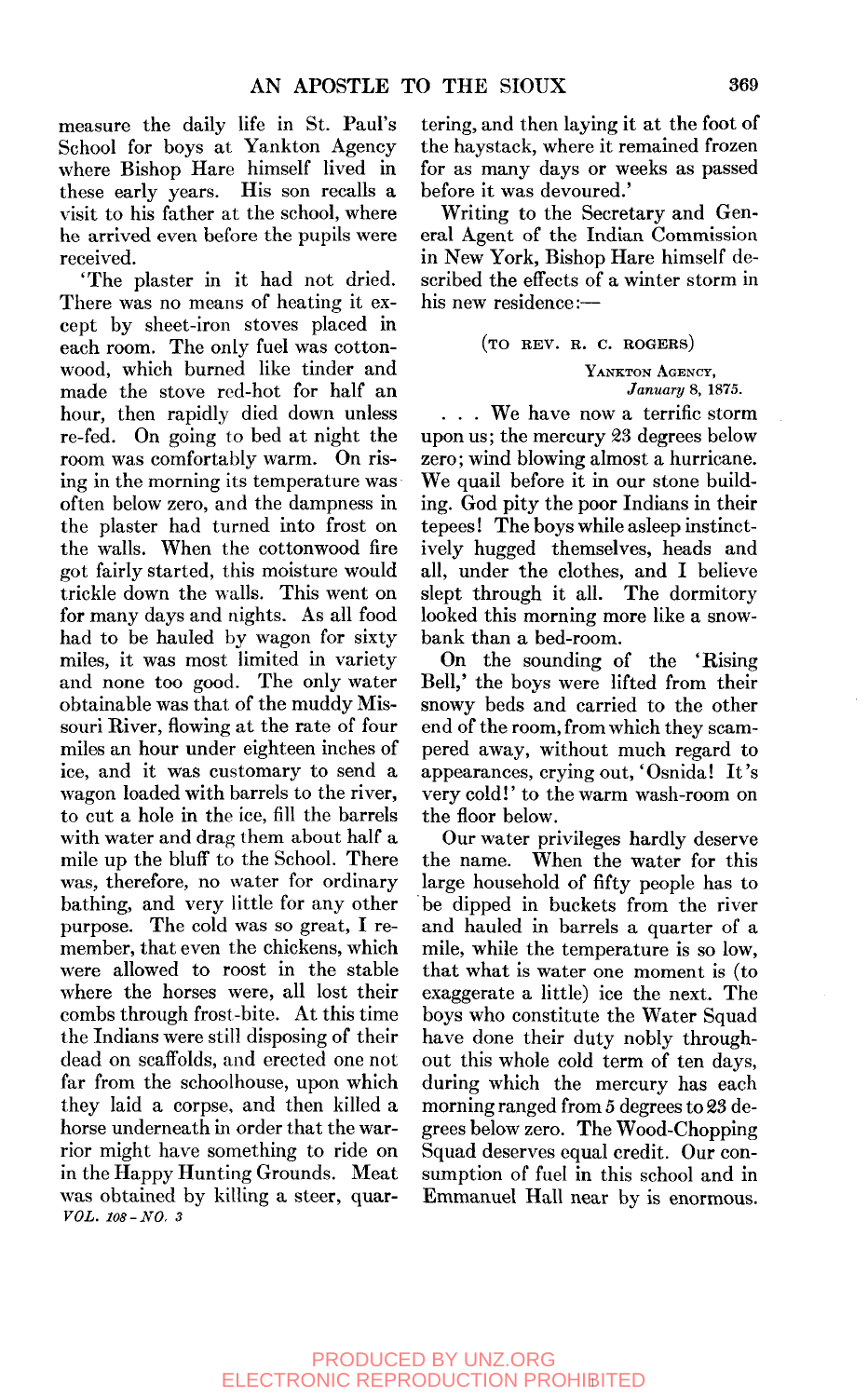measure the daily life in St. Paul's School for boys at Yankton Agency where Bishop Hare himself lived in these early years. His son recalls a visit to his father at the school, where he arrived even before the pupils were received.

'The plaster in it had not dried. There was no means of heating it except by sheet-iron stoves placed in each room. The only fuel was cottonwood, which burned like tinder and made the stove red-hot for half an hour, then rapidly died down unless re-fed. On going to bed at night the room was comfortably warm. On rising in the morning its temperature was often below zero, and the dampness in the plaster had turned into frost on the walls. When the cottonwood fire got fairly started, this moisture would trickle down the walls. This went on for many days and nights. As all food had to be hauled by wagon for sixty miles, it was most limited in variety and none too good. The only water obtainable was that of the muddy Missouri River, flowing at the rate of four miles an hour under eighteen inches of ice, and it was customary to send a wagon loaded with barrels to the river, to cut a hole in the ice, fill the barrels with water and drag them about half a mile up the bluff to the School. There was, therefore, no water for ordinary bathing, and very little for any other purpose. The cold was so great, I remember, that even the chickens, which were allowed to roost in the stable where the horses were, all lost their combs through frost-bite. At this time the Indians were still disposing of their dead on scaffolds, and erected one not far from the schoolhouse, upon which they laid a corpse, and then killed a horse underneath in order that the warrior might have something to ride on in the Happy Hunting Grounds. Meat was obtained by killing a steer, quar-*VOL. 108-NO. 3* 

tering, and then laying it at the foot of the haystack, where it remained frozen for as many days or weeks as passed before it was devoured.'

Writing to the Secretary and General Agent of the Indian Commission in New York, Bishop Hare himself described the effects of a winter storm in his new residence:—

## (TO REV. R. C. ROGERS)

YANKTON AGENCY, *January* 8, 1875.

. . . We have now a terrific storm upon us; the mercury 23 degrees below zero; wind blowing almost a hurricane. We quail before it in our stone building. God pity the poor Indians in their tepees! The boys while asleep instinctively hugged themselves, heads and all, under the clothes, and I believe slept through it all. The dormitory looked this morning more like a snowbank than a bed-room.

On the sounding of the 'Rising Bell,' the boys were lifted from their snowy beds and carried to the other end of the room, from which they scampered away, without much regard to appearances, crying out, 'Osnida! It's very cold!' to the warm wash-room on the floor below.

Our water privileges hardly deserve the name. When the water for this large household of fifty people has to be dipped in buckets from the river and hauled in barrels a quarter of a mile, while the temperature is so low, that what is water one moment is (to exaggerate a little) ice the next. The boys who constitute the Water Squad have done their duty nobly throughout this whole cold term of ten days, during which the mercury has each morning ranged from 5 degrees to 23 degrees below zero. The Wood-Chopping Squad deserves equal credit. Our consumption of fuel in this school and in Emmanuel Hall near by is enormous.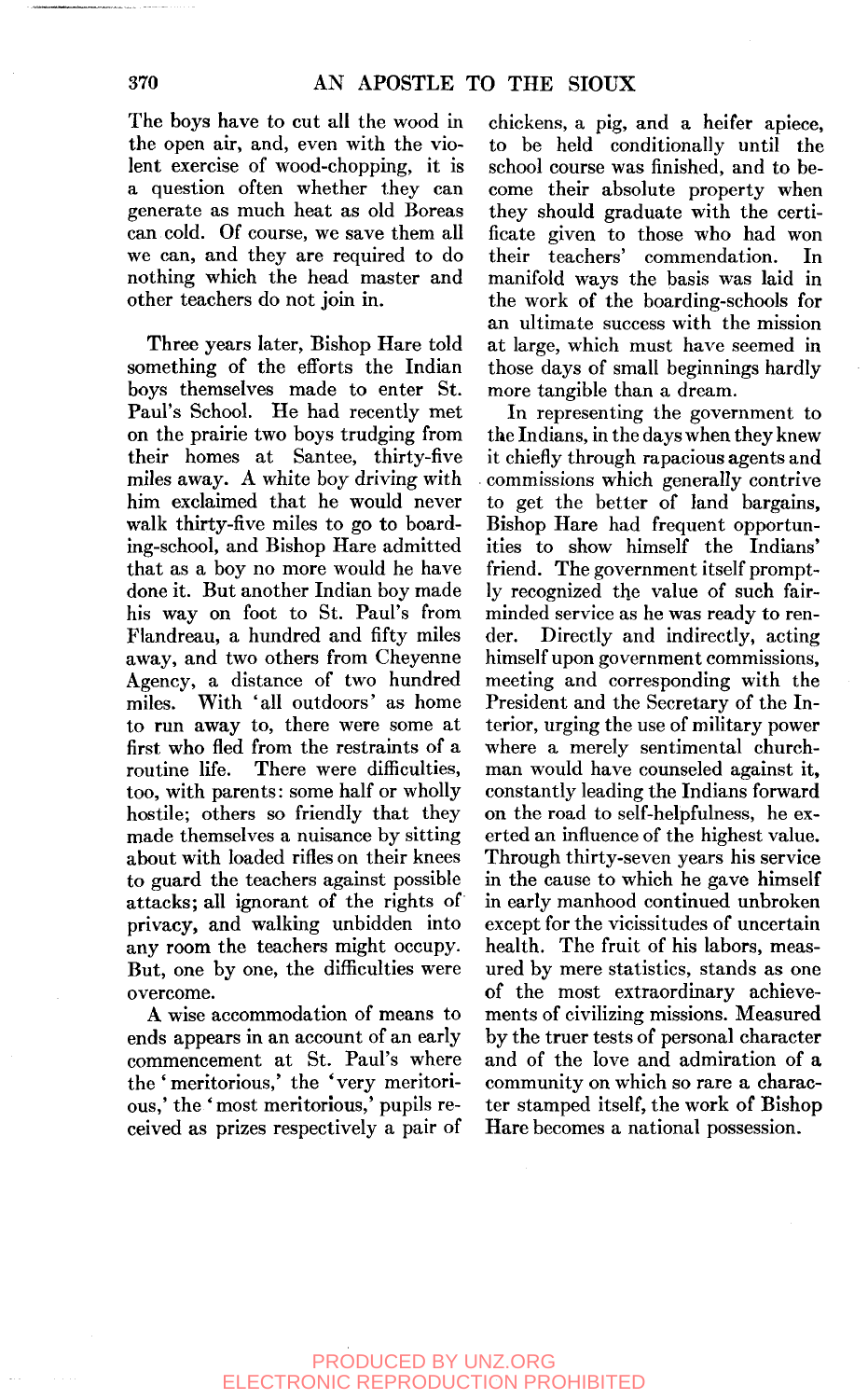The boys have to cut all the wood in the open air, and, even with the violent exercise of wood-chopping, it is a question often whether they can generate as much heat as old Boreas can cold. Of course, we save them all we can, and they are required to do nothing which the head master and other teachers do not join in.

Three years later. Bishop Hare told something of the efforts the Indian boys themselves made to enter St. Paul's School. He had recently met on the prairie two boys trudging from their homes at Santee, thirty-five miles away. A white boy driving with him exclaimed that he would never walk thirty-five miles to go to boarding-school, and Bishop Hare admitted that as a boy no more would he have done it. But another Indian boy made his way on foot to St. Paul's from Flandreau, a hundred and fifty miles away, and two others from Cheyenne Agency, a distance of two hundred miles. With 'all outdoors' as home to run away to, there were some at first who fled from the restraints of a routine life. There were difficulties, too, with parents: some half or wholly hostile; others so friendly that they made themselves a nuisance by sitting about with loaded rifles on their knees to guard the teachers against possible attacks; all ignorant of the rights of privacy, and walking unbidden into any room the teachers might occupy. But, one by one, the difficulties were overcome.

A wise accommodation of means to ends appears in an account of an early commencement at St. Paul's where the ' meritorious,' the 'very meritorious,' the 'most meritorious,' pupils received as prizes respectively a pair of

chickens, a pig, and a heifer apiece, to be held conditionally until the school course was finished, and to become their absolute property when they should graduate with the certificate given to those who had won their teachers' commendation. In manifold ways the basis was laid in the work of the boarding-schools for an ultimate success with the mission at large, which must have seemed in those days of small beginnings hardly more tangible than a dream.

In representing the government to the Indians, in the days when they knew it chiefly through rapacious agents and commissions which generally contrive to get the better of land bargains. Bishop Hare had frequent opportunities to show himself the Indians' friend. The government itself promptly recognized the value of such fairminded service as he was ready to render. Directly and indirectly, acting himself upon government commissions, meeting and corresponding with the President and the Secretary of the Interior, urging the use of military power where a merely sentimental churchman would have counseled against it, constantly leading the Indians forward on the road to self-helpfulness, he exerted an influence of the highest value. Through thirty-seven years his service in the cause to which he gave himself in early manhood continued unbroken except for the vicissitudes of uncertain health. The fruit of his labors, measured by mere statistics, stands as one of the most extraordinary achievements of civilizing missions. Measured by the truer tests of personal character and of the love and admiration of a community on which so rare a character stamped itself, the work of Bishop Hare becomes a national possession.